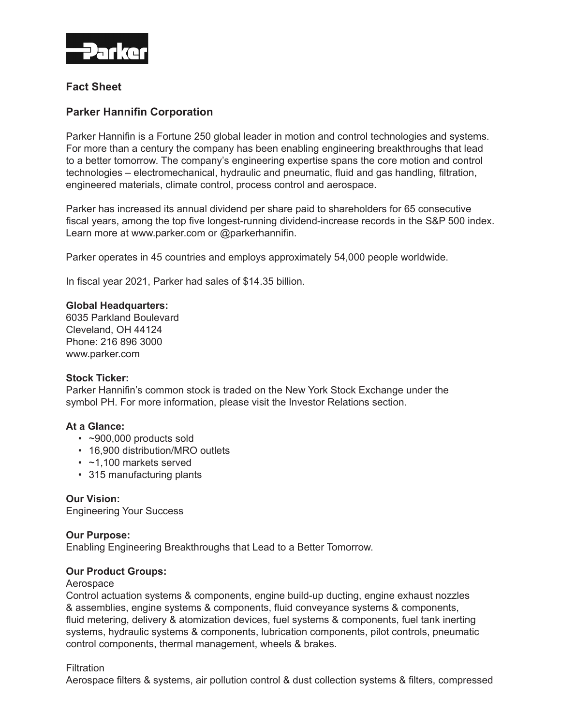

# **Fact Sheet**

# **Parker Hannifin Corporation**

Parker Hannifin is a Fortune 250 global leader in motion and control technologies and systems. For more than a century the company has been enabling engineering breakthroughs that lead to a better tomorrow. The company's engineering expertise spans the core motion and control technologies – electromechanical, hydraulic and pneumatic, fluid and gas handling, filtration, engineered materials, climate control, process control and aerospace.

Parker has increased its annual dividend per share paid to shareholders for 65 consecutive fiscal years, among the top five longest-running dividend-increase records in the S&P 500 index. Learn more at www.parker.com or @parkerhannifin.

Parker operates in 45 countries and employs approximately 54,000 people worldwide.

In fiscal year 2021, Parker had sales of \$14.35 billion.

## **Global Headquarters:**

6035 Parkland Boulevard Cleveland, OH 44124 Phone: 216 896 3000 www.parker.com

#### **Stock Ticker:**

Parker Hannifin's common stock is traded on the New York Stock Exchange under the symbol PH. For more information, please visit the Investor Relations section.

#### **At a Glance:**

- $\cdot$  ~900,000 products sold
- 16,900 distribution/MRO outlets
- ~1,100 markets served
- 315 manufacturing plants

# **Our Vision:**

Engineering Your Success

# **Our Purpose:**

Enabling Engineering Breakthroughs that Lead to a Better Tomorrow.

#### **Our Product Groups:**

#### Aerospace

Control actuation systems & components, engine build-up ducting, engine exhaust nozzles & assemblies, engine systems & components, fluid conveyance systems & components, fluid metering, delivery & atomization devices, fuel systems & components, fuel tank inerting systems, hydraulic systems & components, lubrication components, pilot controls, pneumatic control components, thermal management, wheels & brakes.

# **Filtration**

Aerospace filters & systems, air pollution control & dust collection systems & filters, compressed